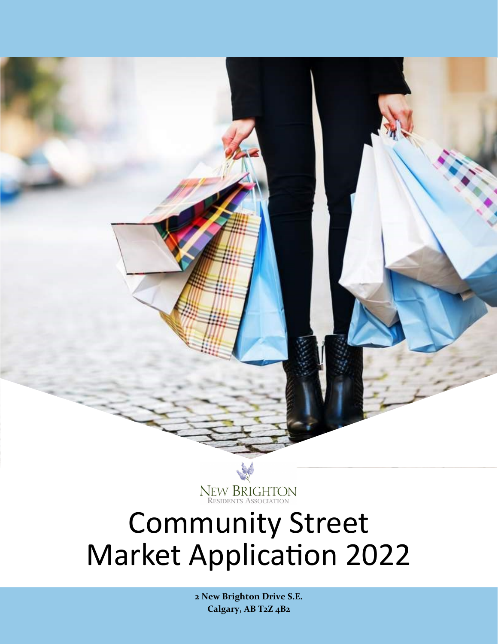

# Community Street Market Application 2022

**2 New Brighton Drive S.E. Calgary, AB T2Z 4B2**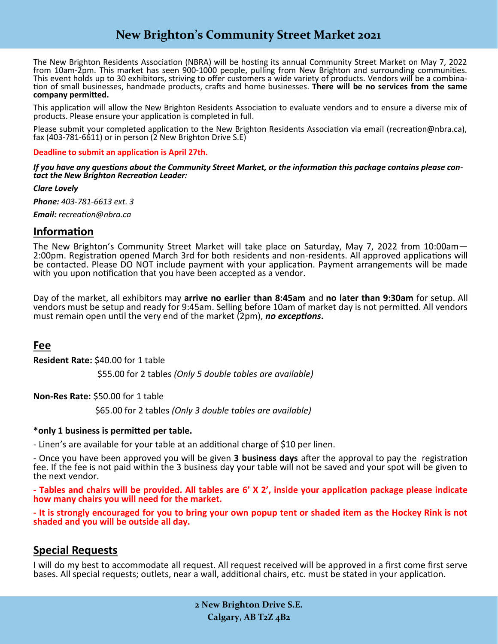# **New Brighton's Community Street Market 2021**

The New Brighton Residents Association (NBRA) will be hosting its annual Community Street Market on May 7, 2022 from 10am-2pm. This market has seen 900-1000 people, pulling from New Brighton and surrounding communities. This event holds up to 30 exhibitors, striving to offer customers a wide variety of products. Vendors will be a combination of small businesses, handmade products, crafts and home businesses. **There will be no services from the same company permitted.**

This application will allow the New Brighton Residents Association to evaluate vendors and to ensure a diverse mix of products. Please ensure your application is completed in full.

Please submit your completed application to the New Brighton Residents Association via email (recreation@nbra.ca), fax (403-781-6611) or in person (2 New Brighton Drive S.E)

**Deadline to submit an application is April 27th.**

*If you have any questions about the Community Street Market, or the information this package contains please contact the New Brighton Recreation Leader:* 

*Clare Lovely*

*Phone: 403-781-6613 ext. 3*

*Email: recreation@nbra.ca* 

### **Information**

The New Brighton's Community Street Market will take place on Saturday, May 7, 2022 from 10:00am— 2:00pm. Registration opened March 3rd for both residents and non-residents. All approved applications will be contacted. Please DO NOT include payment with your application. Payment arrangements will be made with you upon notification that you have been accepted as a vendor.

Day of the market, all exhibitors may **arrive no earlier than 8:45am** and **no later than 9:30am** for setup. All vendors must be setup and ready for 9:45am. Selling before 10am of market day is not permitted. All vendors must remain open until the very end of the market (2pm), *no exceptions***.** 

## **Fee**

**Resident Rate:** \$40.00 for 1 table

\$55.00 for 2 tables *(Only 5 double tables are available)*

**Non-Res Rate:** \$50.00 for 1 table

\$65.00 for 2 tables *(Only 3 double tables are available)*

#### **\*only 1 business is permitted per table.**

- Linen's are available for your table at an additional charge of \$10 per linen.

- Once you have been approved you will be given **3 business days** after the approval to pay the registration fee. If the fee is not paid within the 3 business day your table will not be saved and your spot will be given to the next vendor.

**- Tables and chairs will be provided. All tables are 6' X 2', inside your application package please indicate how many chairs you will need for the market.**

**- It is strongly encouraged for you to bring your own popup tent or shaded item as the Hockey Rink is not shaded and you will be outside all day.**

## **Special Requests**

I will do my best to accommodate all request. All request received will be approved in a first come first serve bases. All special requests; outlets, near a wall, additional chairs, etc. must be stated in your application.

> **2 New Brighton Drive S.E. Calgary, AB T2Z 4B2**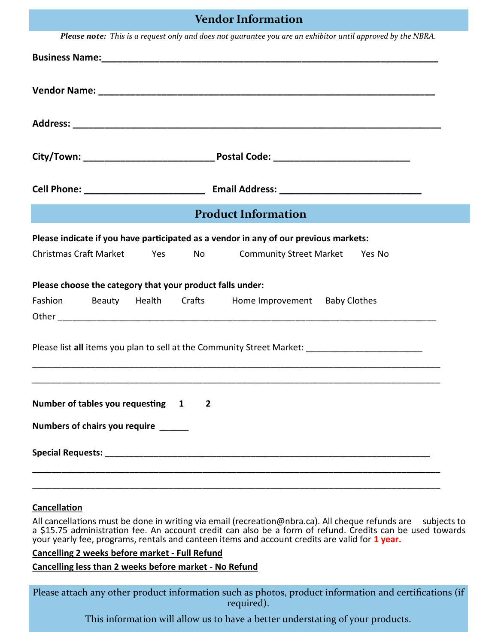# **Vendor Information**

| <b>Product Information</b><br>Please indicate if you have participated as a vendor in any of our previous markets:<br>Christmas Craft Market Yes<br>No<br><b>Community Street Market Yes No</b><br>Please choose the category that your product falls under:<br>Fashion Beauty Health Crafts Home Improvement Baby Clothes<br>Please list all items you plan to sell at the Community Street Market: _____________________________<br>Number of tables you requesting 1<br>$\overline{2}$<br>Numbers of chairs you require ______ | Please note: This is a request only and does not guarantee you are an exhibitor until approved by the NBRA. |
|-----------------------------------------------------------------------------------------------------------------------------------------------------------------------------------------------------------------------------------------------------------------------------------------------------------------------------------------------------------------------------------------------------------------------------------------------------------------------------------------------------------------------------------|-------------------------------------------------------------------------------------------------------------|
|                                                                                                                                                                                                                                                                                                                                                                                                                                                                                                                                   |                                                                                                             |
|                                                                                                                                                                                                                                                                                                                                                                                                                                                                                                                                   |                                                                                                             |
|                                                                                                                                                                                                                                                                                                                                                                                                                                                                                                                                   |                                                                                                             |
|                                                                                                                                                                                                                                                                                                                                                                                                                                                                                                                                   |                                                                                                             |
|                                                                                                                                                                                                                                                                                                                                                                                                                                                                                                                                   |                                                                                                             |
|                                                                                                                                                                                                                                                                                                                                                                                                                                                                                                                                   |                                                                                                             |
|                                                                                                                                                                                                                                                                                                                                                                                                                                                                                                                                   |                                                                                                             |
|                                                                                                                                                                                                                                                                                                                                                                                                                                                                                                                                   |                                                                                                             |
|                                                                                                                                                                                                                                                                                                                                                                                                                                                                                                                                   |                                                                                                             |
|                                                                                                                                                                                                                                                                                                                                                                                                                                                                                                                                   |                                                                                                             |
|                                                                                                                                                                                                                                                                                                                                                                                                                                                                                                                                   |                                                                                                             |
|                                                                                                                                                                                                                                                                                                                                                                                                                                                                                                                                   |                                                                                                             |
|                                                                                                                                                                                                                                                                                                                                                                                                                                                                                                                                   |                                                                                                             |
|                                                                                                                                                                                                                                                                                                                                                                                                                                                                                                                                   |                                                                                                             |
|                                                                                                                                                                                                                                                                                                                                                                                                                                                                                                                                   |                                                                                                             |

#### **Cancellation**

All cancellations must be done in writing via email (recreation@nbra.ca). All cheque refunds are subjects to a \$15.75 administration fee. An account credit can also be a form of refund. Credits can be used towards your yearly fee, programs, rentals and canteen items and account credits are valid for **1 year.**

#### **Cancelling 2 weeks before market - Full Refund**

**Cancelling less than 2 weeks before market - No Refund**

Please attach any other product information such as photos, product information and certifications (if required).

This information will allow us to have a better understating of your products.